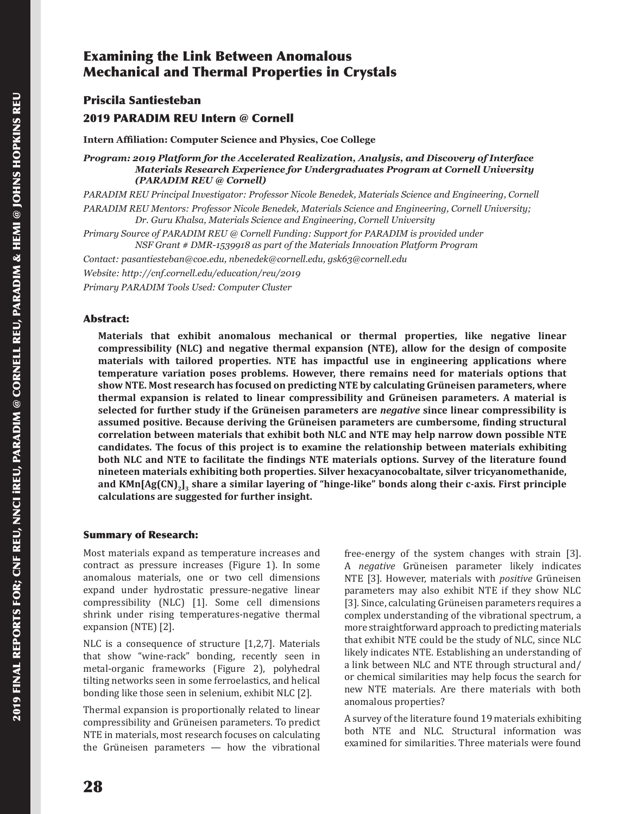# Examining the Link Between Anomalous Mechanical and Thermal Properties in Crystals

Priscila Santiesteban

## 2019 PARADIM REU Intern @ Cornell

**Intern Affiliation: Computer Science and Physics, Coe College**

*Program: 2019 Platform for the Accelerated Realization, Analysis, and Discovery of Interface Materials Research Experience for Undergraduates Program at Cornell University (PARADIM REU @ Cornell)*

*PARADIM REU Principal Investigator: Professor Nicole Benedek, Materials Science and Engineering, Cornell PARADIM REU Mentors: Professor Nicole Benedek, Materials Science and Engineering, Cornell University; Dr. Guru Khalsa, Materials Science and Engineering, Cornell University*

*Primary Source of PARADIM REU @ Cornell Funding: Support for PARADIM is provided under NSF Grant # DMR-1539918 as part of the Materials Innovation Platform Program*

*Contact: pasantiesteban@coe.edu, nbenedek@cornell.edu, gsk63@cornell.edu*

*Website: http://cnf.cornell.edu/education/reu/2019*

*Primary PARADIM Tools Used: Computer Cluster*

#### Abstract:

**Materials that exhibit anomalous mechanical or thermal properties, like negative linear compressibility (NLC) and negative thermal expansion (NTE), allow for the design of composite materials with tailored properties. NTE has impactful use in engineering applications where temperature variation poses problems. However, there remains need for materials options that show NTE. Most research has focused on predicting NTE by calculating Grüneisen parameters, where thermal expansion is related to linear compressibility and Grüneisen parameters. A material is selected for further study if the Grüneisen parameters are** *negative* **since linear compressibility is assumed positive. Because deriving the Grüneisen parameters are cumbersome, finding structural correlation between materials that exhibit both NLC and NTE may help narrow down possible NTE candidates. The focus of this project is to examine the relationship between materials exhibiting both NLC and NTE to facilitate the findings NTE materials options. Survey of the literature found nineteen materials exhibiting both properties. Silver hexacyanocobaltate, silver tricyanomethanide, and KMn[Ag(CN)2]3 share a similar layering of "hinge-like" bonds along their c-axis. First principle calculations are suggested for further insight.**

#### Summary of Research:

Most materials expand as temperature increases and contract as pressure increases (Figure 1). In some anomalous materials, one or two cell dimensions expand under hydrostatic pressure-negative linear compressibility (NLC) [1]. Some cell dimensions shrink under rising temperatures-negative thermal expansion (NTE) [2].

NLC is a consequence of structure [1,2,7]. Materials that show "wine-rack" bonding, recently seen in metal-organic frameworks (Figure 2), polyhedral tilting networks seen in some ferroelastics, and helical bonding like those seen in selenium, exhibit NLC [2].

Thermal expansion is proportionally related to linear compressibility and Grüneisen parameters. To predict NTE in materials, most research focuses on calculating the Grüneisen parameters — how the vibrational free-energy of the system changes with strain [3]. A *negative* Grüneisen parameter likely indicates NTE [3]. However, materials with *positive* Grüneisen parameters may also exhibit NTE if they show NLC [3]. Since, calculating Grüneisen parameters requires a complex understanding of the vibrational spectrum, a more straightforward approach to predicting materials that exhibit NTE could be the study of NLC, since NLC likely indicates NTE. Establishing an understanding of a link between NLC and NTE through structural and/ or chemical similarities may help focus the search for new NTE materials. Are there materials with both anomalous properties?

A survey of the literature found 19 materials exhibiting both NTE and NLC. Structural information was examined for similarities. Three materials were found